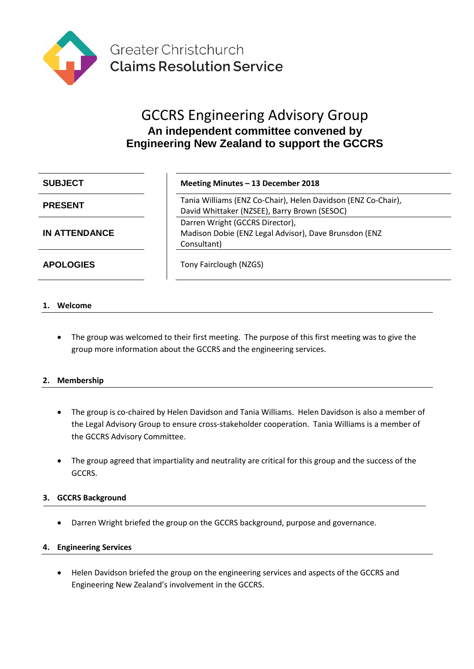

# GCCRS Engineering Advisory Group **An independent committee convened by Engineering New Zealand to support the GCCRS**

**IN ATTENDANCE**

#### **SUBJECT Meeting Minutes – 13 December 2018**

**PRESENT** Tania Williams (ENZ Co-Chair), Helen Davidson (ENZ Co-Chair), David Whittaker (NZSEE), Barry Brown (SESOC) Darren Wright (GCCRS Director), Madison Dobie (ENZ Legal Advisor), Dave Brunsdon (ENZ Consultant)

**APOLOGIES** Tony Fairclough (NZGS)

# **1. Welcome**

The group was welcomed to their first meeting. The purpose of this first meeting was to give the group more information about the GCCRS and the engineering services.

# **2. Membership**

- The group is co-chaired by Helen Davidson and Tania Williams. Helen Davidson is also a member of the Legal Advisory Group to ensure cross-stakeholder cooperation. Tania Williams is a member of the GCCRS Advisory Committee.
- The group agreed that impartiality and neutrality are critical for this group and the success of the GCCRS.

# **3. GCCRS Background**

• Darren Wright briefed the group on the GCCRS background, purpose and governance.

# **4. Engineering Services**

• Helen Davidson briefed the group on the engineering services and aspects of the GCCRS and Engineering New Zealand's involvement in the GCCRS.